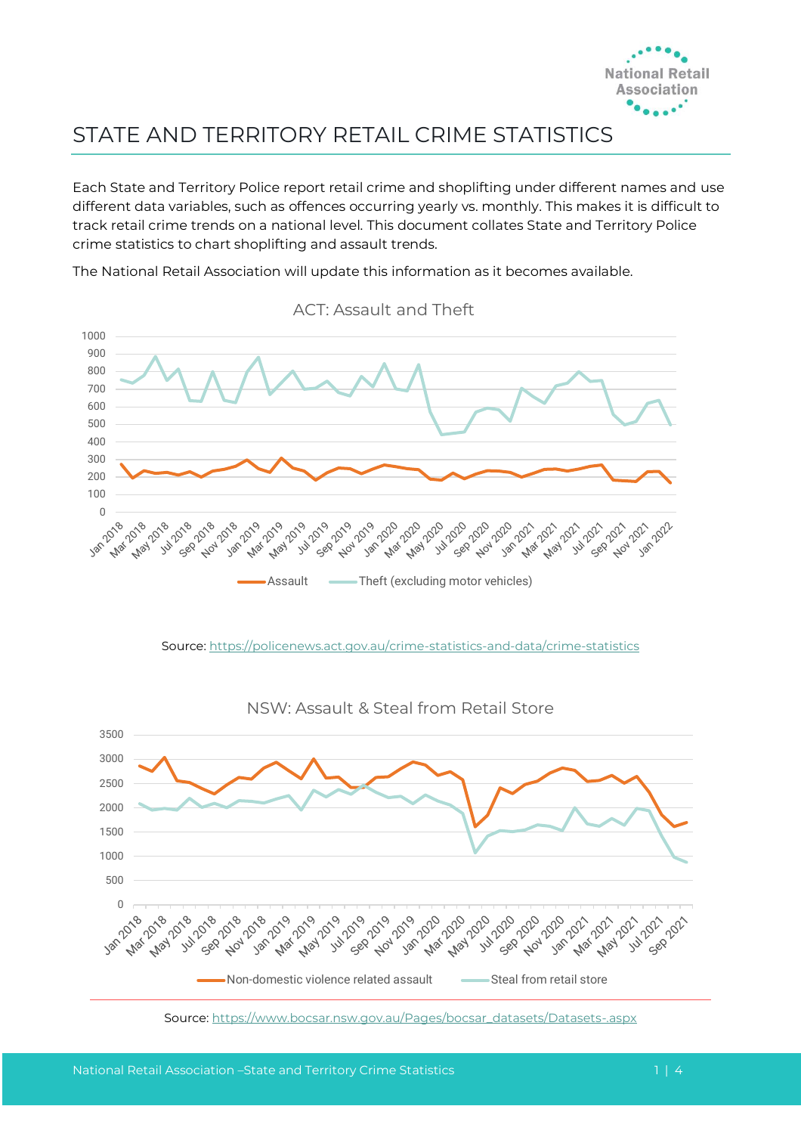

## STATE AND TERRITORY RETAIL CRIME STATISTICS

Each State and Territory Police report retail crime and shoplifting under different names and use different data variables, such as offences occurring yearly vs. monthly. This makes it is difficult to track retail crime trends on a national level. This document collates State and Territory Police crime statistics to chart shoplifting and assault trends.

The National Retail Association will update this information as it becomes available.



ACT: Assault and Theft

Source[: https://policenews.act.gov.au/crime-statistics-and-data/crime-statistics](https://policenews.act.gov.au/crime-statistics-and-data/crime-statistics)



NSW: Assault & Steal from Retail Store

Source: [https://www.bocsar.nsw.gov.au/Pages/bocsar\\_datasets/Datasets-.aspx](https://www.bocsar.nsw.gov.au/Pages/bocsar_datasets/Datasets-.aspx)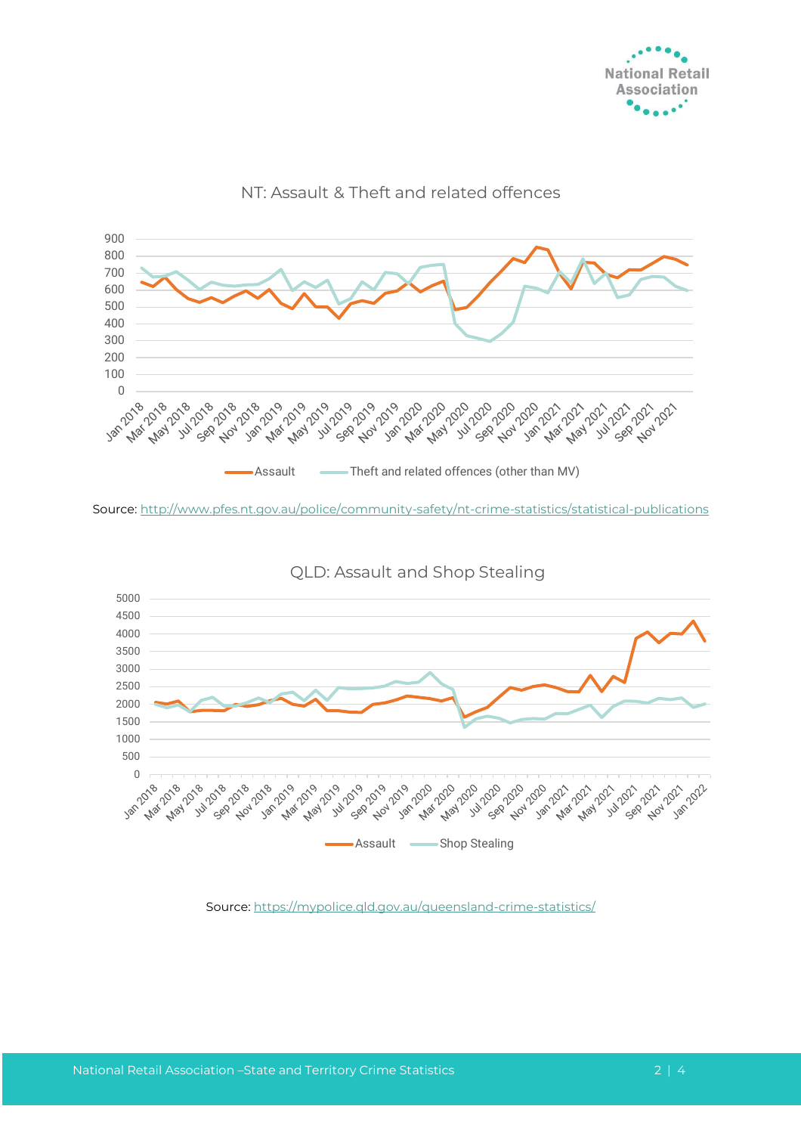



## NT: Assault & Theft and related offences

Source:<http://www.pfes.nt.gov.au/police/community-safety/nt-crime-statistics/statistical-publications>



QLD: Assault and Shop Stealing

Source[: https://mypolice.qld.gov.au/queensland-crime-statistics/](https://mypolice.qld.gov.au/queensland-crime-statistics/)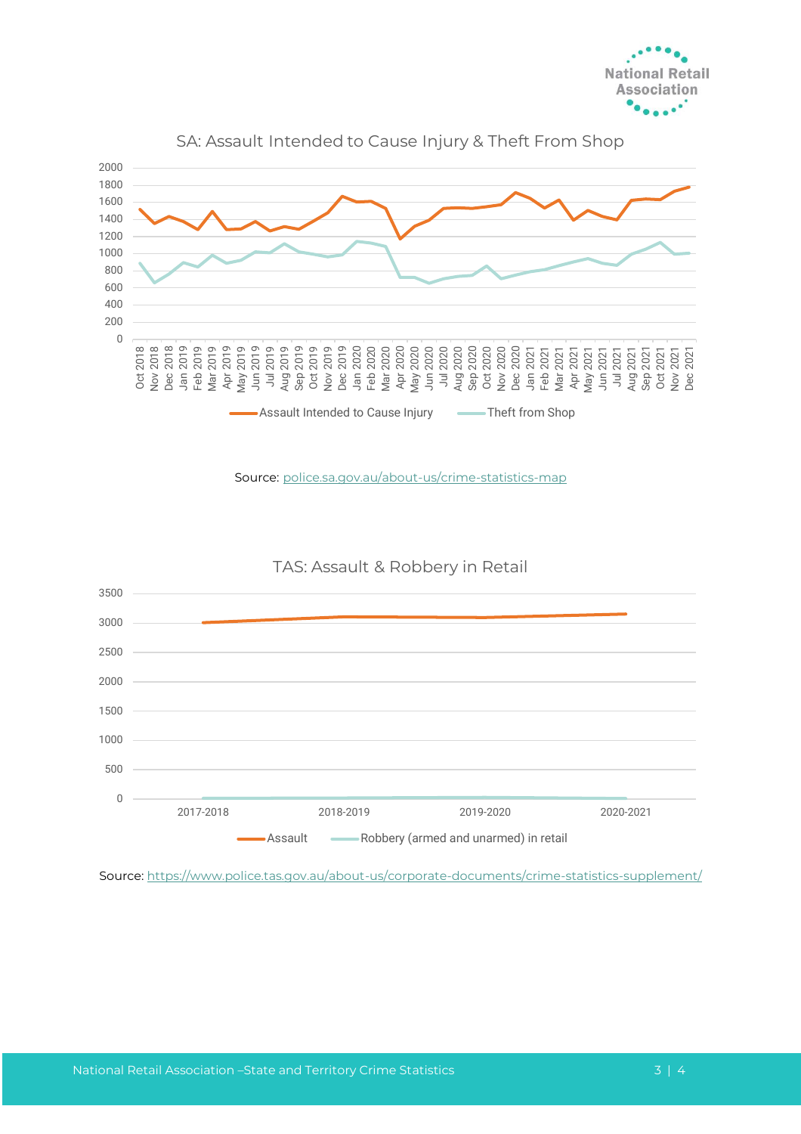



Source: police.sa.gov.au/about-us/crime-statistics-map

TAS: Assault & Robbery in Retail

![](_page_2_Figure_4.jpeg)

Source:<https://www.police.tas.gov.au/about-us/corporate-documents/crime-statistics-supplement/>